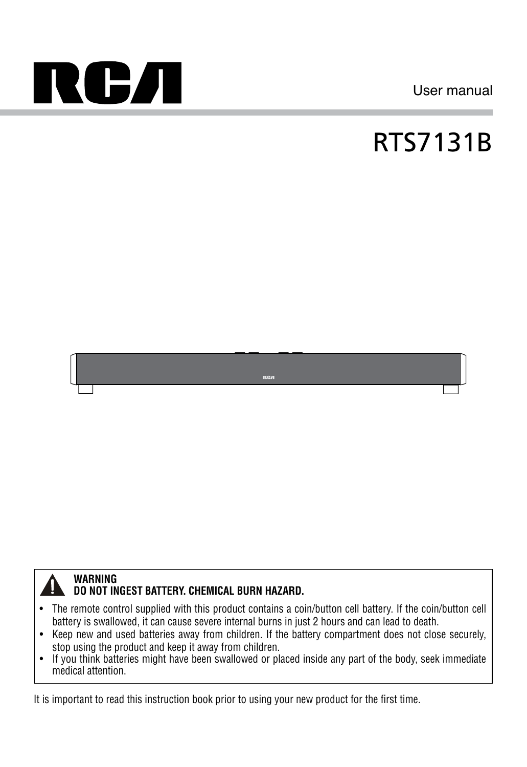

User manual

# RTS7131B





#### **WARNING DO NOT INGEST BATTERY. CHEMICAL BURN HAZARD.**

- • The remote control supplied with this product contains a coin/button cell battery. If the coin/button cell battery is swallowed, it can cause severe internal burns in just 2 hours and can lead to death.
- • Keep new and used batteries away from children. If the battery compartment does not close securely, stop using the product and keep it away from children.
- If you think batteries might have been swallowed or placed inside any part of the body, seek immediate medical attention.

It is important to read this instruction book prior to using your new product for the first time.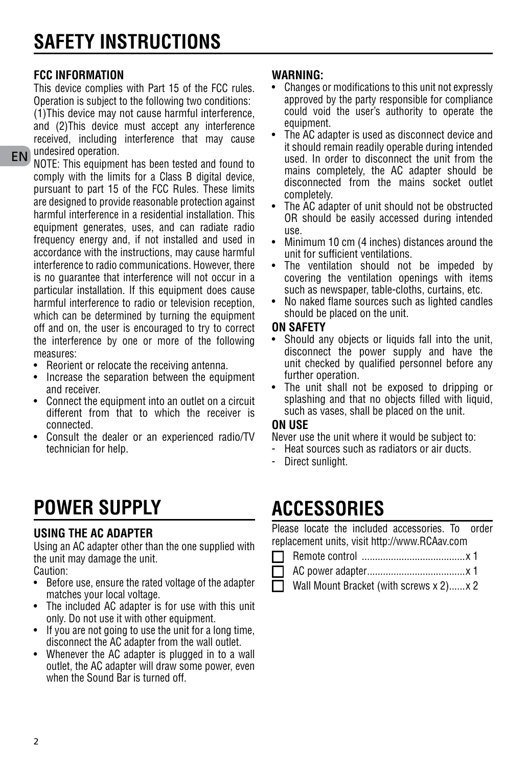#### **FCC Information**

This device complies with Part 15 of the FCC rules. Operation is subject to the following two conditions: (1)This device may not cause harmful interference, and (2)This device must accept any interference received, including interference that may cause undesired operation.

EN NOTE: This equipment has been tested and found to comply with the limits for a Class B digital device, pursuant to part 15 of the FCC Rules. These limits are designed to provide reasonable protection against harmful interference in a residential installation. This equipment generates, uses, and can radiate radio frequency energy and, if not installed and used in accordance with the instructions, may cause harmful interference to radio communications. However, there is no guarantee that interference will not occur in a particular installation. If this equipment does cause harmful interference to radio or television reception, which can be determined by turning the equipment off and on, the user is encouraged to try to correct the interference by one or more of the following measures:

- • Reorient or relocate the receiving antenna.
- Increase the separation between the equipment and receiver.
- • Connect the equipment into an outlet on a circuit different from that to which the receiver is connected.
- • Consult the dealer or an experienced radio/TV technician for help.

### **power supply**

#### **Using the AC adapter**

Using an AC adapter other than the one supplied with the unit may damage the unit.

Caution:

- • Before use, ensure the rated voltage of the adapter matches your local voltage.
- The included AC adapter is for use with this unit only. Do not use it with other equipment.
- If you are not going to use the unit for a long time, disconnect the AC adapter from the wall outlet.
- Whenever the AC adapter is plugged in to a wall outlet, the AC adapter will draw some power, even when the Sound Bar is turned off.

#### **WARNING:**

- Changes or modifications to this unit not expressly approved by the party responsible for compliance could void the user's authority to operate the equipment.
- The AC adapter is used as disconnect device and it should remain readily operable during intended used. In order to disconnect the unit from the mains completely, the AC adapter should be disconnected from the mains socket outlet completely.
- The AC adapter of unit should not be obstructed OR should be easily accessed during intended use.
- Minimum 10 cm (4 inches) distances around the unit for sufficient ventilations.
- The ventilation should not be impeded by covering the ventilation openings with items such as newspaper, table-cloths, curtains, etc.
- No naked flame sources such as lighted candles should be placed on the unit.

#### **On Safety**

- Should any objects or liquids fall into the unit. disconnect the power supply and have the unit checked by qualified personnel before any further operation.
- The unit shall not be exposed to dripping or splashing and that no objects filled with liquid, such as vases, shall be placed on the unit.

#### **On Use**

Never use the unit where it would be subject to:

- Heat sources such as radiators or air ducts.
- Direct sunlight.

### **Accessories**

Please locate the included accessories. To order replacement units, visit http://www.RCAav.com

- п Remote control .......................................x 1
	- AC power adapter.....................................x 1
	- Wall Mount Bracket (with screws x 2)......x 2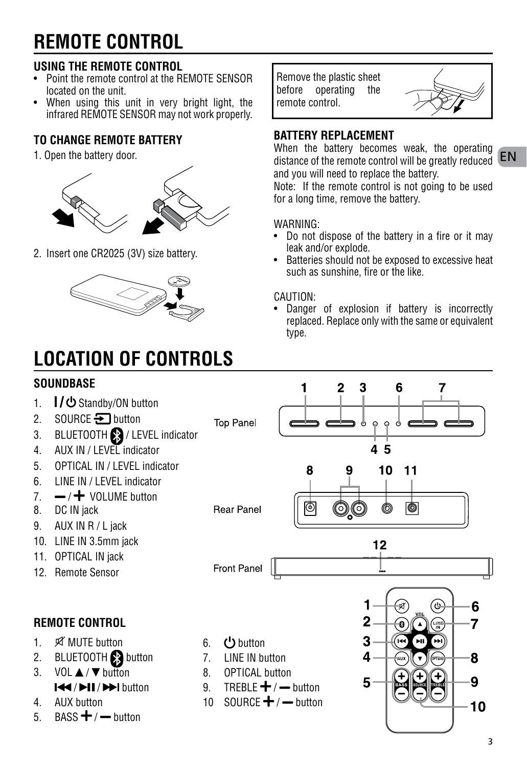### **remote control**

#### **Using the Remote Control**

- • Point the remote control at the REMOTE SENSOR located on the unit.
- When using this unit in very bright light, the infrared REMOTE SENSOR may not work properly.

#### **To change remote battery**

1. Open the battery door.



2. Insert one CR2025 (3V) size battery.



## **LOCATION OF CONTROLS**

### **SOUNDBASE**

- $1.$   $\blacksquare$  /  $\bigcirc$  Standby/ON button
- 2. SOURCE  $\bigtriangledown$  button
- 3. BLUETOOTH **29** / LEVEL indicator
- 4. AUX IN / LEVEL indicator
- 5. OPTICAL IN / LEVEL indicator
- 6. LINE IN / LEVEL indicator
- $7 / +$  VOLUME button
- 8. DC IN jack
- 9. AUX IN R / L jack
- 10. LINE IN 3.5mm jack
- 11. OPTICAL IN jack
- 12 Remote Sensor

#### **remote control**

- 1 % MIITF button
- 2. BLUETOOTH Button
- $3$  VOL  $\triangle$  /  $\nabla$  button **I<4/bil/bbl** button
- 4 AIIX button
- 5. BASS  $+/-$  button

Remove the plastic sheet before operating the remote control.



distance of the remote control will be greatly reduced **EN** When the battery becomes weak, the operating and you will need to replace the battery.

Note: If the remote control is not going to be used for a long time, remove the battery.

#### WARNING:

- Do not dispose of the battery in a fire or it may leak and/or explode.
- • Batteries should not be exposed to excessive heat such as sunshine, fire or the like.

#### CAUTION:

Danger of explosion if battery is incorrectly replaced. Replace only with the same or equivalent type.

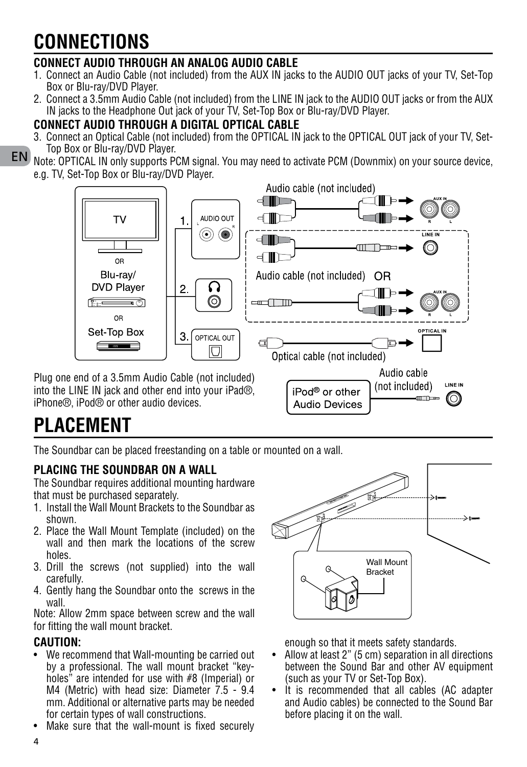### **ConnectionS**

#### **Connect audio through aN ANALOG AUDIO CABLE**

- 1. Connect an Audio Cable (not included) from the AUX IN jacks to the AUDIO OUT jacks of your TV. Set-Top Box or Blu-ray/DVD Player.
- 2. Connect a 3.5mm Audio Cable (not included) from the LINE IN jack to the AUDIO OUT jacks or from the AUX IN jacks to the Headphone Out jack of your TV, Set-Top Box or Blu-ray/DVD Player.

#### **Connect audio through a digital optical cable**

3. Connect an Optical Cable (not included) from the OPTICAL IN jack to the OPTICAL OUT jack of your TV, Set-Top Box or Blu-ray/DVD Player.

#### EN Note: OPTICAL IN only supports PCM signal. You may need to activate PCM (Downmix) on your source device, e.g. TV, Set-Top Box or Blu-ray/DVD Player.



Plug one end of a 3.5mm Audio Cable (not included) into the LINE IN jack and other end into your iPad®, iPhone®, iPod® or other audio devices.

# iPod<sup>®</sup> or other **Audio Devices**

### **PLACEMENT**

The Soundbar can be placed freestanding on a table or mounted on a wall.

#### **Placing the Soundbar on a wall**

The Soundbar requires additional mounting hardware that must be purchased separately.

- 1. Install the Wall Mount Brackets to the Soundbar as shown.
- 2. Place the Wall Mount Template (included) on the wall and then mark the locations of the screw holes.
- 3. Drill the screws (not supplied) into the wall carefully.
- 4. Gently hang the Soundbar onto the screws in the wall.

Note: Allow 2mm space between screw and the wall for fitting the wall mount bracket.

#### **Caution:**

- We recommend that Wall-mounting be carried out by a professional. The wall mount bracket "keyholes" are intended for use with #8 (Imperial) or M4 (Metric) with head size: Diameter 7.5 - 9.4 mm. Additional or alternative parts may be needed for certain types of wall constructions.
- Make sure that the wall-mount is fixed securely



(not included)

-accom ©)

**LINE IN** 

enough so that it meets safety standards.

- Allow at least 2" (5 cm) separation in all directions between the Sound Bar and other AV equipment (such as your TV or Set-Top Box).
- It is recommended that all cables (AC adapter and Audio cables) be connected to the Sound Bar before placing it on the wall.

4